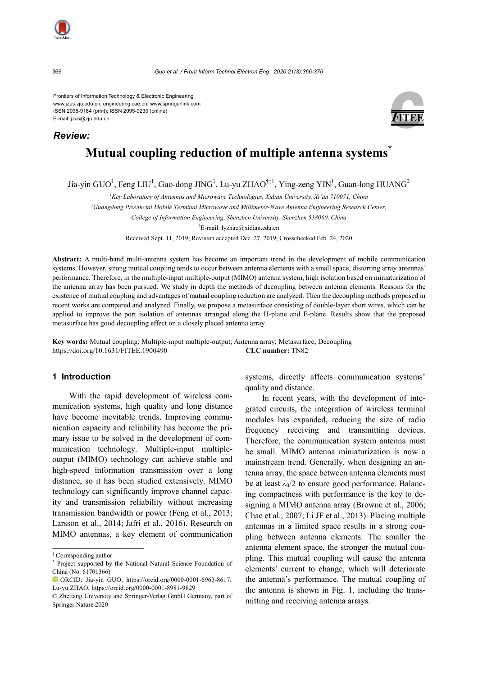

*Review:*

Frontiers of Information Technology & Electronic Engineering www.jzus.zju.edu.cn; engineering.cae.cn; www.springerlink.com ISSN 2095-9184 (print); ISSN 2095-9230 (online) E-mail: jzus@zju.edu.cn



# **Mutual coupling reduction of multiple antenna systems\***

Jia-yin GUO<sup>1</sup>, Feng LIU<sup>1</sup>, Guo-dong JING<sup>1</sup>, Lu-yu ZHAO<sup>†‡1</sup>, Ying-zeng YIN<sup>1</sup>, Guan-long HUANG<sup>2</sup>

*1 Key Laboratory of Antennas and Microwave Technologies, Xidian University, Xi'an 710071, China*

*2 Guangdong Provincial Mobile Terminal Microwave and Millimeter-Wave Antenna Engineering Research Center,* 

*College of Information Engineering, Shenzhen University, Shenzhen 518060, China*

† E-mail: lyzhao@xidian.edu.cn

Received Sept. 11, 2019; Revision accepted Dec. 27, 2019; Crosschecked Feb. 24, 2020

**Abstract:** A multi-band multi-antenna system has become an important trend in the development of mobile communication systems. However, strong mutual coupling tends to occur between antenna elements with a small space, distorting array antennas' performance. Therefore, in the multiple-input multiple-output (MIMO) antenna system, high isolation based on miniaturization of the antenna array has been pursued. We study in depth the methods of decoupling between antenna elements. Reasons for the existence of mutual coupling and advantages of mutual coupling reduction are analyzed. Then the decoupling methods proposed in recent works are compared and analyzed. Finally, we propose a metasurface consisting of double-layer short wires, which can be applied to improve the port isolation of antennas arranged along the H-plane and E-plane. Results show that the proposed metasurface has good decoupling effect on a closely placed antenna array.

**Key words:** Mutual coupling; Multiple-input multiple-output; Antenna array; Metasurface; Decoupling https://doi.org/10.1631/FITEE.1900490 **CLC number:** TN82

# **1 Introduction**

With the rapid development of wireless communication systems, high quality and long distance have become inevitable trends. Improving communication capacity and reliability has become the primary issue to be solved in the development of communication technology. Multiple-input multipleoutput (MIMO) technology can achieve stable and high-speed information transmission over a long distance, so it has been studied extensively. MIMO technology can significantly improve channel capacity and transmission reliability without increasing transmission bandwidth or power (Feng et al., 2013; Larsson et al., 2014; Jafri et al., 2016). Research on MIMO antennas, a key element of communication

systems, directly affects communication systems' quality and distance.

In recent years, with the development of integrated circuits, the integration of wireless terminal modules has expanded, reducing the size of radio frequency receiving and transmitting devices. Therefore, the communication system antenna must be small. MIMO antenna miniaturization is now a mainstream trend. Generally, when designing an antenna array, the space between antenna elements must be at least  $\lambda_0/2$  to ensure good performance. Balancing compactness with performance is the key to designing a MIMO antenna array (Browne et al., 2006; Chae et al., 2007; Li JF et al., 2013). Placing multiple antennas in a limited space results in a strong coupling between antenna elements. The smaller the antenna element space, the stronger the mutual coupling. This mutual coupling will cause the antenna elements' current to change, which will deteriorate the antenna's performance. The mutual coupling of the antenna is shown in Fig. 1, including the transmitting and receiving antenna arrays.

<sup>‡</sup> Corresponding author

<sup>\*</sup> Project supported by the National Natural Science Foundation of China (No. 61701366)

ORCID: Jia-yin GUO, https://orcid.org/0000-0001-6963-8617; Lu-yu ZHAO, https://orcid.org/0000-0001-8981-9829

<sup>©</sup> Zhejiang University and Springer-Verlag GmbH Germany, part of Springer Nature 2020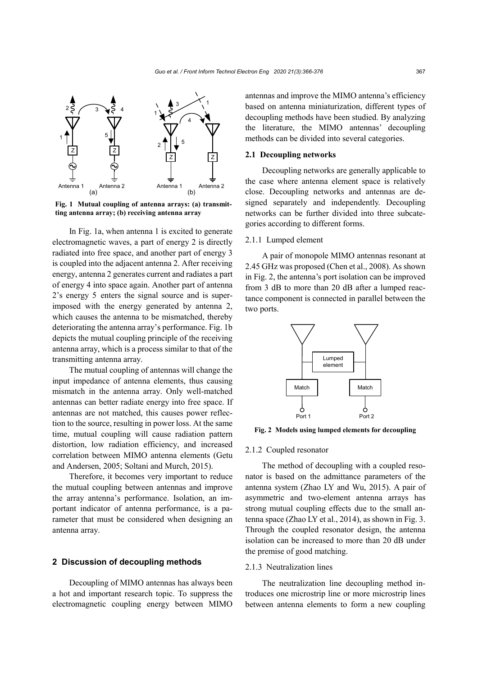

**Fig. 1 Mutual coupling of antenna arrays: (a) transmitting antenna array; (b) receiving antenna array**

In Fig. 1a, when antenna 1 is excited to generate electromagnetic waves, a part of energy 2 is directly radiated into free space, and another part of energy 3 is coupled into the adjacent antenna 2. After receiving energy, antenna 2 generates current and radiates a part of energy 4 into space again. Another part of antenna 2's energy 5 enters the signal source and is superimposed with the energy generated by antenna 2, which causes the antenna to be mismatched, thereby deteriorating the antenna array's performance. Fig. 1b depicts the mutual coupling principle of the receiving antenna array, which is a process similar to that of the transmitting antenna array.

The mutual coupling of antennas will change the input impedance of antenna elements, thus causing mismatch in the antenna array. Only well-matched antennas can better radiate energy into free space. If antennas are not matched, this causes power reflection to the source, resulting in power loss. At the same time, mutual coupling will cause radiation pattern distortion, low radiation efficiency, and increased correlation between MIMO antenna elements (Getu and Andersen, 2005; Soltani and Murch, 2015).

Therefore, it becomes very important to reduce the mutual coupling between antennas and improve the array antenna's performance. Isolation, an important indicator of antenna performance, is a parameter that must be considered when designing an antenna array.

## **2 Discussion of decoupling methods**

Decoupling of MIMO antennas has always been a hot and important research topic. To suppress the electromagnetic coupling energy between MIMO

antennas and improve the MIMO antenna's efficiency based on antenna miniaturization, different types of decoupling methods have been studied. By analyzing the literature, the MIMO antennas' decoupling methods can be divided into several categories.

#### **2.1 Decoupling networks**

Decoupling networks are generally applicable to the case where antenna element space is relatively close. Decoupling networks and antennas are designed separately and independently. Decoupling networks can be further divided into three subcategories according to different forms.

## 2.1.1 Lumped element

A pair of monopole MIMO antennas resonant at 2.45 GHz was proposed (Chen et al., 2008). As shown in Fig. 2, the antenna's port isolation can be improved from 3 dB to more than 20 dB after a lumped reactance component is connected in parallel between the two ports.



**Fig. 2 Models using lumped elements for decoupling**

#### 2.1.2 Coupled resonator

The method of decoupling with a coupled resonator is based on the admittance parameters of the antenna system (Zhao LY and Wu, 2015). A pair of asymmetric and two-element antenna arrays has strong mutual coupling effects due to the small antenna space (Zhao LY et al., 2014), as shown in Fig. 3. Through the coupled resonator design, the antenna isolation can be increased to more than 20 dB under the premise of good matching.

## 2.1.3 Neutralization lines

The neutralization line decoupling method introduces one microstrip line or more microstrip lines between antenna elements to form a new coupling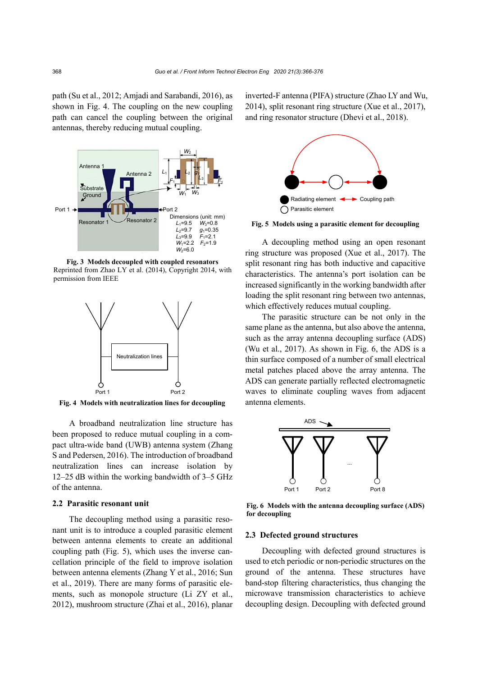path (Su et al., 2012; Amjadi and Sarabandi, 2016), as shown in Fig. 4. The coupling on the new coupling path can cancel the coupling between the original antennas, thereby reducing mutual coupling.



**Fig. 3 Models decoupled with coupled resonators** Reprinted from Zhao LY et al. (2014), Copyright 2014, with permission from IEEE



**Fig. 4 Models with neutralization lines for decoupling**

A broadband neutralization line structure has been proposed to reduce mutual coupling in a compact ultra-wide band (UWB) antenna system (Zhang S and Pedersen, 2016). The introduction of broadband neutralization lines can increase isolation by 12–25 dB within the working bandwidth of 3–5 GHz of the antenna.

#### **2.2 Parasitic resonant unit**

The decoupling method using a parasitic resonant unit is to introduce a coupled parasitic element between antenna elements to create an additional coupling path (Fig. 5), which uses the inverse cancellation principle of the field to improve isolation between antenna elements (Zhang Y et al., 2016; Sun et al., 2019). There are many forms of parasitic elements, such as monopole structure (Li ZY et al., 2012), mushroom structure (Zhai et al., 2016), planar inverted-F antenna (PIFA) structure (Zhao LY and Wu, 2014), split resonant ring structure (Xue et al., 2017), and ring resonator structure (Dhevi et al., 2018).



**Fig. 5 Models using a parasitic element for decoupling**

A decoupling method using an open resonant ring structure was proposed (Xue et al., 2017). The split resonant ring has both inductive and capacitive characteristics. The antenna's port isolation can be increased significantly in the working bandwidth after loading the split resonant ring between two antennas, which effectively reduces mutual coupling.

The parasitic structure can be not only in the same plane as the antenna, but also above the antenna, such as the array antenna decoupling surface (ADS) (Wu et al., 2017). As shown in Fig. 6, the ADS is a thin surface composed of a number of small electrical metal patches placed above the array antenna. The ADS can generate partially reflected electromagnetic waves to eliminate coupling waves from adjacent antenna elements.



**Fig. 6 Models with the antenna decoupling surface (ADS) for decoupling**

## **2.3 Defected ground structures**

Decoupling with defected ground structures is used to etch periodic or non-periodic structures on the ground of the antenna. These structures have band-stop filtering characteristics, thus changing the microwave transmission characteristics to achieve decoupling design. Decoupling with defected ground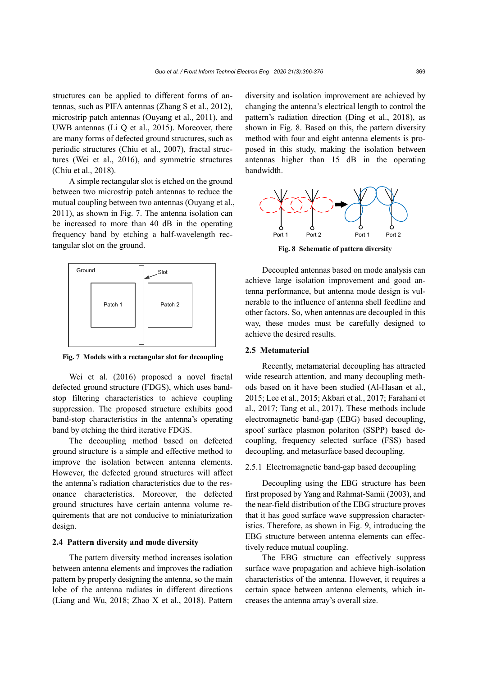structures can be applied to different forms of antennas, such as PIFA antennas (Zhang S et al., 2012), microstrip patch antennas (Ouyang et al., 2011), and UWB antennas (Li Q et al., 2015). Moreover, there are many forms of defected ground structures, such as periodic structures (Chiu et al., 2007), fractal structures (Wei et al., 2016), and symmetric structures (Chiu et al., 2018).

A simple rectangular slot is etched on the ground between two microstrip patch antennas to reduce the mutual coupling between two antennas (Ouyang et al., 2011), as shown in Fig. 7. The antenna isolation can be increased to more than 40 dB in the operating frequency band by etching a half-wavelength rectangular slot on the ground.



**Fig. 7 Models with a rectangular slot for decoupling**

Wei et al. (2016) proposed a novel fractal defected ground structure (FDGS), which uses bandstop filtering characteristics to achieve coupling suppression. The proposed structure exhibits good band-stop characteristics in the antenna's operating band by etching the third iterative FDGS.

The decoupling method based on defected ground structure is a simple and effective method to improve the isolation between antenna elements. However, the defected ground structures will affect the antenna's radiation characteristics due to the resonance characteristics. Moreover, the defected ground structures have certain antenna volume requirements that are not conducive to miniaturization design.

## **2.4 Pattern diversity and mode diversity**

The pattern diversity method increases isolation between antenna elements and improves the radiation pattern by properly designing the antenna, so the main lobe of the antenna radiates in different directions (Liang and Wu, 2018; Zhao X et al., 2018). Pattern

diversity and isolation improvement are achieved by changing the antenna's electrical length to control the pattern's radiation direction (Ding et al., 2018), as shown in Fig. 8. Based on this, the pattern diversity method with four and eight antenna elements is proposed in this study, making the isolation between antennas higher than 15 dB in the operating bandwidth.



**Fig. 8 Schematic of pattern diversity**

Decoupled antennas based on mode analysis can achieve large isolation improvement and good antenna performance, but antenna mode design is vulnerable to the influence of antenna shell feedline and other factors. So, when antennas are decoupled in this way, these modes must be carefully designed to achieve the desired results.

## **2.5 Metamaterial**

Recently, metamaterial decoupling has attracted wide research attention, and many decoupling methods based on it have been studied (Al-Hasan et al., 2015; Lee et al., 2015; Akbari et al., 2017; Farahani et al., 2017; Tang et al., 2017). These methods include electromagnetic band-gap (EBG) based decoupling, spoof surface plasmon polariton (SSPP) based decoupling, frequency selected surface (FSS) based decoupling, and metasurface based decoupling.

### 2.5.1 Electromagnetic band-gap based decoupling

Decoupling using the EBG structure has been first proposed by Yang and Rahmat-Samii (2003), and the near-field distribution of the EBG structure proves that it has good surface wave suppression characteristics. Therefore, as shown in Fig. 9, introducing the EBG structure between antenna elements can effectively reduce mutual coupling.

The EBG structure can effectively suppress surface wave propagation and achieve high-isolation characteristics of the antenna. However, it requires a certain space between antenna elements, which increases the antenna array's overall size.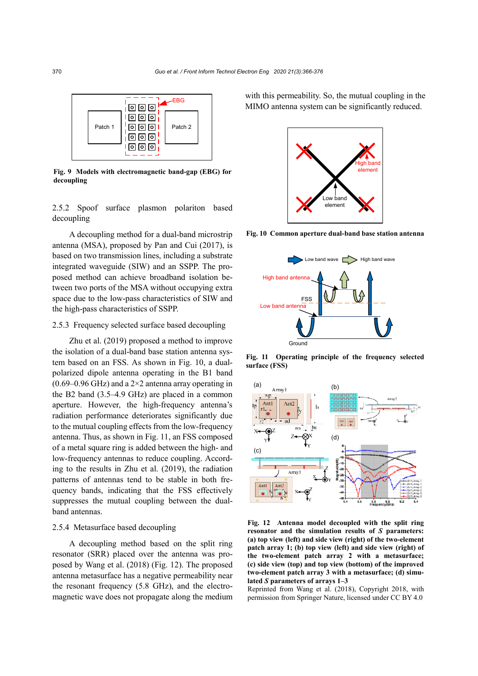

**Fig. 9 Models with electromagnetic band-gap (EBG) for decoupling**

2.5.2 Spoof surface plasmon polariton based decoupling

A decoupling method for a dual-band microstrip antenna (MSA), proposed by Pan and Cui (2017), is based on two transmission lines, including a substrate integrated waveguide (SIW) and an SSPP. The proposed method can achieve broadband isolation between two ports of the MSA without occupying extra space due to the low-pass characteristics of SIW and the high-pass characteristics of SSPP.

# 2.5.3 Frequency selected surface based decoupling

Zhu et al. (2019) proposed a method to improve the isolation of a dual-band base station antenna system based on an FSS. As shown in Fig. 10, a dualpolarized dipole antenna operating in the B1 band  $(0.69-0.96$  GHz) and a  $2\times 2$  antenna array operating in the B2 band (3.5–4.9 GHz) are placed in a common aperture. However, the high-frequency antenna's radiation performance deteriorates significantly due to the mutual coupling effects from the low-frequency antenna. Thus, as shown in Fig. 11, an FSS composed of a metal square ring is added between the high- and low-frequency antennas to reduce coupling. According to the results in Zhu et al. (2019), the radiation patterns of antennas tend to be stable in both frequency bands, indicating that the FSS effectively suppresses the mutual coupling between the dualband antennas.

# 2.5.4 Metasurface based decoupling

A decoupling method based on the split ring resonator (SRR) placed over the antenna was proposed by Wang et al. (2018) (Fig. 12). The proposed antenna metasurface has a negative permeability near the resonant frequency (5.8 GHz), and the electromagnetic wave does not propagate along the medium with this permeability. So, the mutual coupling in the MIMO antenna system can be significantly reduced.



**Fig. 10 Common aperture dual-band base station antenna**



**Fig. 11 Operating principle of the frequency selected surface (FSS)**



**Fig. 12 Antenna model decoupled with the split ring resonator and the simulation results of** *S* **parameters: (a) top view (left) and side view (right) of the two-element patch array 1; (b) top view (left) and side view (right) of the two-element patch array 2 with a metasurface; (c) side view (top) and top view (bottom) of the improved two-element patch array 3 with a metasurface; (d) simulated** *S* **parameters of arrays 1–3**

Reprinted from Wang et al. (2018), Copyright 2018, with permission from Springer Nature, licensed under CC BY 4.0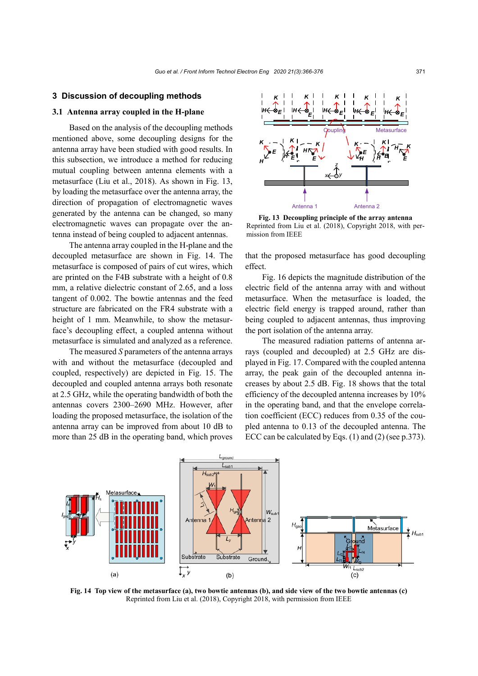## **3 Discussion of decoupling methods**

## **3.1 Antenna array coupled in the H-plane**

Based on the analysis of the decoupling methods mentioned above, some decoupling designs for the antenna array have been studied with good results. In this subsection, we introduce a method for reducing mutual coupling between antenna elements with a metasurface (Liu et al., 2018). As shown in Fig. 13, by loading the metasurface over the antenna array, the direction of propagation of electromagnetic waves generated by the antenna can be changed, so many electromagnetic waves can propagate over the antenna instead of being coupled to adjacent antennas.

The antenna array coupled in the H-plane and the decoupled metasurface are shown in Fig. 14. The metasurface is composed of pairs of cut wires, which are printed on the F4B substrate with a height of 0.8 mm, a relative dielectric constant of 2.65, and a loss tangent of 0.002. The bowtie antennas and the feed structure are fabricated on the FR4 substrate with a height of 1 mm. Meanwhile, to show the metasurface's decoupling effect, a coupled antenna without metasurface is simulated and analyzed as a reference.

The measured *S* parameters of the antenna arrays with and without the metasurface (decoupled and coupled, respectively) are depicted in Fig. 15. The decoupled and coupled antenna arrays both resonate at 2.5 GHz, while the operating bandwidth of both the antennas covers 2300–2690 MHz. However, after loading the proposed metasurface, the isolation of the antenna array can be improved from about 10 dB to more than 25 dB in the operating band, which proves



**Fig. 13 Decoupling principle of the array antenna** Reprinted from Liu et al. (2018), Copyright 2018, with permission from IEEE

that the proposed metasurface has good decoupling effect.

Fig. 16 depicts the magnitude distribution of the electric field of the antenna array with and without metasurface. When the metasurface is loaded, the electric field energy is trapped around, rather than being coupled to adjacent antennas, thus improving the port isolation of the antenna array.

The measured radiation patterns of antenna arrays (coupled and decoupled) at 2.5 GHz are displayed in Fig. 17. Compared with the coupled antenna array, the peak gain of the decoupled antenna increases by about 2.5 dB. Fig. 18 shows that the total efficiency of the decoupled antenna increases by 10% in the operating band, and that the envelope correlation coefficient (ECC) reduces from 0.35 of the coupled antenna to 0.13 of the decoupled antenna. The ECC can be calculated by Eqs. (1) and (2) (see p.373).



**Fig. 14 Top view of the metasurface (a), two bowtie antennas (b), and side view of the two bowtie antennas (c)** Reprinted from Liu et al. (2018), Copyright 2018, with permission from IEEE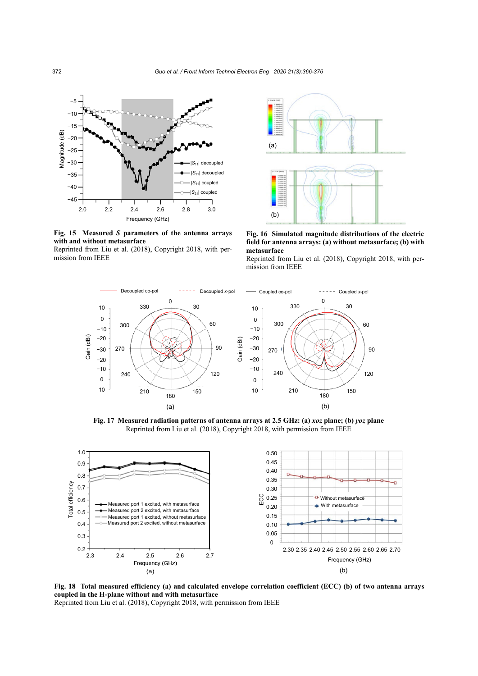

**Fig. 15 Measured** *S* **parameters of the antenna arrays with and without metasurface**

Reprinted from Liu et al. (2018), Copyright 2018, with permission from IEEE



**Fig. 16 Simulated magnitude distributions of the electric field for antenna arrays: (a) without metasurface; (b) with metasurface**

Reprinted from Liu et al. (2018), Copyright 2018, with permission from IEEE



**Fig. 17 Measured radiation patterns of antenna arrays at 2.5 GHz: (a)** *xoz* **plane; (b)** *yoz* **plane** Reprinted from Liu et al. (2018), Copyright 2018, with permission from IEEE



**Fig. 18 Total measured efficiency (a) and calculated envelope correlation coefficient (ECC) (b) of two antenna arrays coupled in the H-plane without and with metasurface**

Reprinted from Liu et al. (2018), Copyright 2018, with permission from IEEE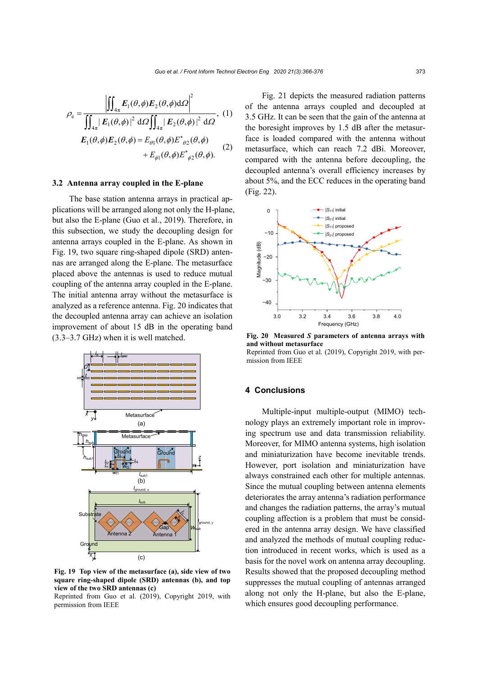$$
\rho_{\rm e} = \frac{\left| \iint_{4\pi} E_1(\theta, \phi) E_2(\theta, \phi) d\Omega \right|^2}{\iint_{4\pi} \left| E_1(\theta, \phi) \right|^2 d\Omega \iint_{4\pi} \left| E_2(\theta, \phi) \right|^2 d\Omega}, (1)
$$

$$
E_1(\theta, \phi) E_2(\theta, \phi) = E_{\theta 1}(\theta, \phi) E^*_{\theta 2}(\theta, \phi)
$$

$$
+ E_{\phi 1}(\theta, \phi) E^*_{\phi 2}(\theta, \phi).
$$

#### **3.2 Antenna array coupled in the E-plane**

The base station antenna arrays in practical applications will be arranged along not only the H-plane, but also the E-plane (Guo et al., 2019). Therefore, in this subsection, we study the decoupling design for antenna arrays coupled in the E-plane. As shown in Fig. 19, two square ring-shaped dipole (SRD) antennas are arranged along the E-plane. The metasurface placed above the antennas is used to reduce mutual coupling of the antenna array coupled in the E-plane. The initial antenna array without the metasurface is analyzed as a reference antenna. Fig. 20 indicates that the decoupled antenna array can achieve an isolation improvement of about 15 dB in the operating band (3.3–3.7 GHz) when it is well matched.



**Fig. 19 Top view of the metasurface (a), side view of two square ring-shaped dipole (SRD) antennas (b), and top view of the two SRD antennas (c)**

Reprinted from Guo et al. (2019), Copyright 2019, with permission from IEEE

Fig. 21 depicts the measured radiation patterns of the antenna arrays coupled and decoupled at 3.5 GHz. It can be seen that the gain of the antenna at the boresight improves by 1.5 dB after the metasurface is loaded compared with the antenna without metasurface, which can reach 7.2 dBi. Moreover, compared with the antenna before decoupling, the decoupled antenna's overall efficiency increases by about 5%, and the ECC reduces in the operating band (Fig. 22).



**Fig. 20 Measured** *S* **parameters of antenna arrays with and without metasurface** 

Reprinted from Guo et al. (2019), Copyright 2019, with permission from IEEE

# **4 Conclusions**

Multiple-input multiple-output (MIMO) technology plays an extremely important role in improving spectrum use and data transmission reliability. Moreover, for MIMO antenna systems, high isolation and miniaturization have become inevitable trends. However, port isolation and miniaturization have always constrained each other for multiple antennas. Since the mutual coupling between antenna elements deteriorates the array antenna's radiation performance and changes the radiation patterns, the array's mutual coupling affection is a problem that must be considered in the antenna array design. We have classified and analyzed the methods of mutual coupling reduction introduced in recent works, which is used as a basis for the novel work on antenna array decoupling. Results showed that the proposed decoupling method suppresses the mutual coupling of antennas arranged along not only the H-plane, but also the E-plane, which ensures good decoupling performance.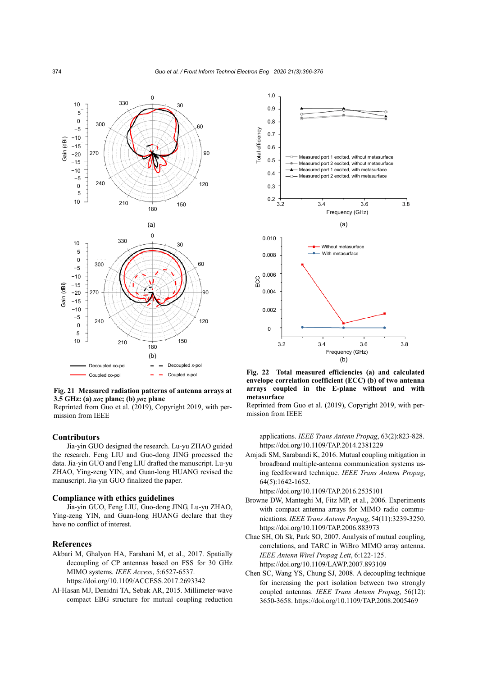

**Fig. 21 Measured radiation patterns of antenna arrays at 3.5 GHz: (a)** *xoz* **plane; (b)** *yoz* **plane**

Reprinted from Guo et al. (2019), Copyright 2019, with permission from IEEE

#### **Contributors**

Jia-yin GUO designed the research. Lu-yu ZHAO guided the research. Feng LIU and Guo-dong JING processed the data. Jia-yin GUO and Feng LIU drafted the manuscript. Lu-yu ZHAO, Ying-zeng YIN, and Guan-long HUANG revised the manuscript. Jia-yin GUO finalized the paper.

#### **Compliance with ethics guidelines**

Jia-yin GUO, Feng LIU, Guo-dong JING, Lu-yu ZHAO, Ying-zeng YIN, and Guan-long HUANG declare that they have no conflict of interest.

#### **References**

Akbari M, Ghalyon HA, Farahani M, et al., 2017. Spatially decoupling of CP antennas based on FSS for 30 GHz MIMO systems. *IEEE Access*, 5:6527-6537. https://doi.org/10.1109/ACCESS.2017.2693342

compact EBG structure for mutual coupling reduction

Al-Hasan MJ, Denidni TA, Sebak AR, 2015. Millimeter-wave



Coupled *x*-pol **Fig. 22 Total measured efficiencies (a) and calculated envelope correlation coefficient (ECC) (b) of two antenna arrays coupled in the E-plane without and with metasurface**

Reprinted from Guo et al. (2019), Copyright 2019, with permission from IEEE

applications. *IEEE Trans Antenn Propag*, 63(2):823-828. https://doi.org/10.1109/TAP.2014.2381229

Amjadi SM, Sarabandi K, 2016. Mutual coupling mitigation in broadband multiple-antenna communication systems using feedforward technique. *IEEE Trans Antenn Propag*, 64(5):1642-1652.

https://doi.org/10.1109/TAP.2016.2535101

- Browne DW, Manteghi M, Fitz MP, et al., 2006. Experiments with compact antenna arrays for MIMO radio communications. *IEEE Trans Antenn Propag*, 54(11):3239-3250. https://doi.org/10.1109/TAP.2006.883973
- Chae SH, Oh Sk, Park SO, 2007. Analysis of mutual coupling, correlations, and TARC in WiBro MIMO array antenna. *IEEE Antenn Wirel Propag Lett*, 6:122-125. https://doi.org/10.1109/LAWP.2007.893109
- Chen SC, Wang YS, Chung SJ, 2008. A decoupling technique for increasing the port isolation between two strongly coupled antennas. *IEEE Trans Antenn Propag*, 56(12): 3650-3658. https://doi.org/10.1109/TAP.2008.2005469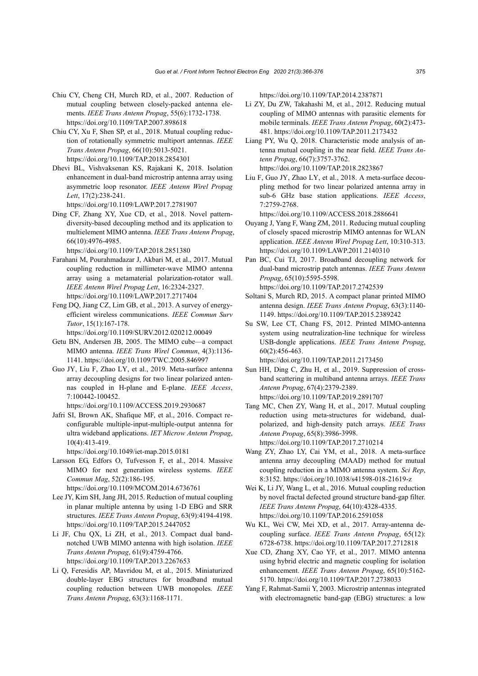- Chiu CY, Cheng CH, Murch RD, et al., 2007. Reduction of mutual coupling between closely-packed antenna elements. *IEEE Trans Antenn Propag*, 55(6):1732-1738. https://doi.org/10.1109/TAP.2007.898618
- Chiu CY, Xu F, Shen SP, et al., 2018. Mutual coupling reduction of rotationally symmetric multiport antennas. *IEEE Trans Antenn Propag*, 66(10):5013-5021. https://doi.org/10.1109/TAP.2018.2854301
- Dhevi BL, Vishvaksenan KS, Rajakani K, 2018. Isolation enhancement in dual-band microstrip antenna array using asymmetric loop resonator. *IEEE Antenn Wirel Propag Lett*, 17(2):238-241.
- https://doi.org/10.1109/LAWP.2017.2781907 Ding CF, Zhang XY, Xue CD, et al., 2018. Novel patterndiversity-based decoupling method and its application to multielement MIMO antenna. *IEEE Trans Antenn Propag*, 66(10):4976-4985.
	- https://doi.org/10.1109/TAP.2018.2851380
- Farahani M, Pourahmadazar J, Akbari M, et al., 2017. Mutual coupling reduction in millimeter-wave MIMO antenna array using a metamaterial polarization-rotator wall. *IEEE Antenn Wirel Propag Lett*, 16:2324-2327. https://doi.org/10.1109/LAWP.2017.2717404
- Feng DQ, Jiang CZ, Lim GB, et al., 2013. A survey of energyefficient wireless communications. *IEEE Commun Surv Tutor*, 15(1):167-178.
	- https://doi.org/10.1109/SURV.2012.020212.00049
- Getu BN, Andersen JB, 2005. The MIMO cube—a compact MIMO antenna. *IEEE Trans Wirel Commun*, 4(3):1136- 1141. https://doi.org/10.1109/TWC.2005.846997
- Guo JY, Liu F, Zhao LY, et al., 2019. Meta-surface antenna array decoupling designs for two linear polarized antennas coupled in H-plane and E-plane. *IEEE Access*, 7:100442-100452.
	- https://doi.org/10.1109/ACCESS.2019.2930687
- Jafri SI, Brown AK, Shafique MF, et al., 2016. Compact reconfigurable multiple-input-multiple-output antenna for ultra wideband applications. *IET Microw Antenn Propag*, 10(4):413-419.
	- https://doi.org/10.1049/iet-map.2015.0181
- Larsson EG, Edfors O, Tufvesson F, et al., 2014. Massive MIMO for next generation wireless systems. *IEEE Commun Mag*, 52(2):186-195. https://doi.org/10.1109/MCOM.2014.6736761
- Lee JY, Kim SH, Jang JH, 2015. Reduction of mutual coupling
- in planar multiple antenna by using 1-D EBG and SRR structures. *IEEE Trans Antenn Propag*, 63(9):4194-4198. https://doi.org/10.1109/TAP.2015.2447052
- Li JF, Chu QX, Li ZH, et al., 2013. Compact dual bandnotched UWB MIMO antenna with high isolation. *IEEE Trans Antenn Propag*, 61(9):4759-4766. https://doi.org/10.1109/TAP.2013.2267653
- Li Q, Feresidis AP, Mavridou M, et al., 2015. Miniaturized double-layer EBG structures for broadband mutual coupling reduction between UWB monopoles. *IEEE Trans Antenn Propag*, 63(3):1168-1171.

https://doi.org/10.1109/TAP.2014.2387871

- Li ZY, Du ZW, Takahashi M, et al., 2012. Reducing mutual coupling of MIMO antennas with parasitic elements for mobile terminals. *IEEE Trans Antenn Propag*, 60(2):473- 481. https://doi.org/10.1109/TAP.2011.2173432
- Liang PY, Wu Q, 2018. Characteristic mode analysis of antenna mutual coupling in the near field. *IEEE Trans Antenn Propag*, 66(7):3757-3762. https://doi.org/10.1109/TAP.2018.2823867
- Liu F, Guo JY, Zhao LY, et al., 2018. A meta-surface decoupling method for two linear polarized antenna array in sub-6 GHz base station applications. *IEEE Access*, 7:2759-2768.
	- https://doi.org/10.1109/ACCESS.2018.2886641
- Ouyang J, Yang F, Wang ZM, 2011. Reducing mutual coupling of closely spaced microstrip MIMO antennas for WLAN application. *IEEE Antenn Wirel Propag Lett*, 10:310-313. https://doi.org/10.1109/LAWP.2011.2140310
- Pan BC, Cui TJ, 2017. Broadband decoupling network for dual-band microstrip patch antennas. *IEEE Trans Antenn Propag*, 65(10):5595-5598.
	- https://doi.org/10.1109/TAP.2017.2742539
- Soltani S, Murch RD, 2015. A compact planar printed MIMO antenna design. *IEEE Trans Antenn Propag*, 63(3):1140- 1149. https://doi.org/10.1109/TAP.2015.2389242
- Su SW, Lee CT, Chang FS, 2012. Printed MIMO-antenna system using neutralization-line technique for wireless USB-dongle applications. *IEEE Trans Antenn Propag*, 60(2):456-463. https://doi.org/10.1109/TAP.2011.2173450
- Sun HH, Ding C, Zhu H, et al., 2019. Suppression of crossband scattering in multiband antenna arrays. *IEEE Trans Antenn Propag*, 67(4):2379-2389. https://doi.org/10.1109/TAP.2019.2891707
- Tang MC, Chen ZY, Wang H, et al., 2017. Mutual coupling reduction using meta-structures for wideband, dualpolarized, and high-density patch arrays. *IEEE Trans Antenn Propag*, 65(8):3986-3998. https://doi.org/10.1109/TAP.2017.2710214
- Wang ZY, Zhao LY, Cai YM, et al., 2018. A meta-surface antenna array decoupling (MAAD) method for mutual coupling reduction in a MIMO antenna system. *Sci Rep*, 8:3152. https://doi.org/10.1038/s41598-018-21619-z
- Wei K, Li JY, Wang L, et al., 2016. Mutual coupling reduction by novel fractal defected ground structure band-gap filter. *IEEE Trans Antenn Propag*, 64(10):4328-4335. https://doi.org/10.1109/TAP.2016.2591058
- Wu KL, Wei CW, Mei XD, et al., 2017. Array-antenna decoupling surface. *IEEE Trans Antenn Propag*, 65(12): 6728-6738. https://doi.org/10.1109/TAP.2017.2712818
- Xue CD, Zhang XY, Cao YF, et al., 2017. MIMO antenna using hybrid electric and magnetic coupling for isolation enhancement. *IEEE Trans Antenn Propag*, 65(10):5162- 5170. https://doi.org/10.1109/TAP.2017.2738033
- Yang F, Rahmat-Samii Y, 2003. Microstrip antennas integrated with electromagnetic band-gap (EBG) structures: a low